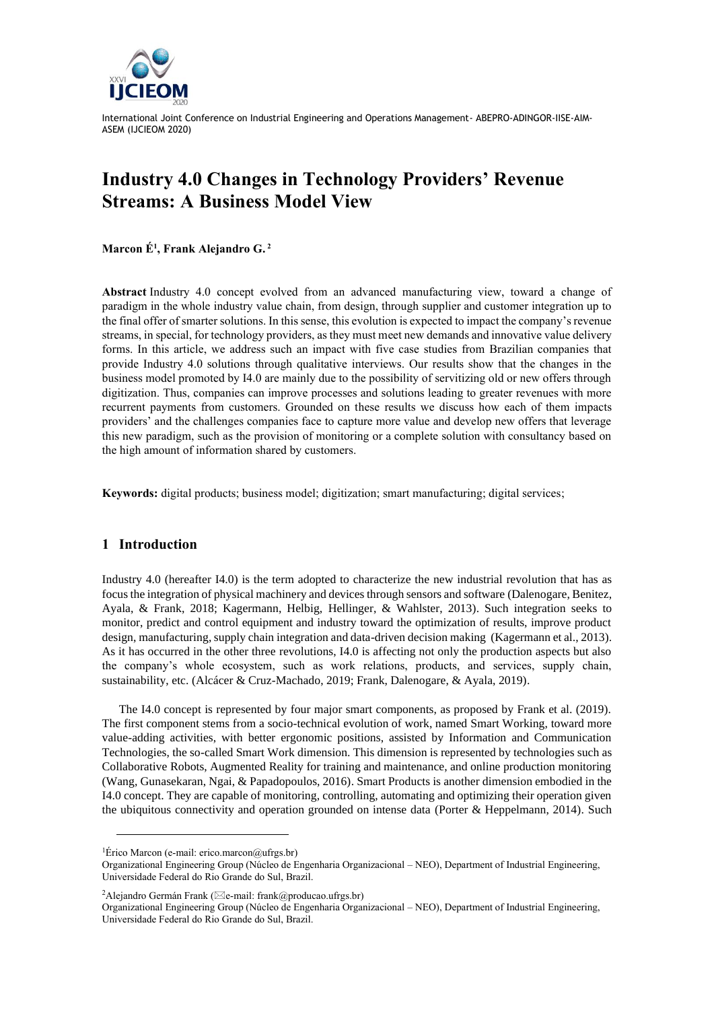

# **Industry 4.0 Changes in Technology Providers' Revenue Streams: A Business Model View**

**Marcon É<sup>1</sup> , Frank Alejandro G. <sup>2</sup>**

**Abstract** Industry 4.0 concept evolved from an advanced manufacturing view, toward a change of paradigm in the whole industry value chain, from design, through supplier and customer integration up to the final offer of smarter solutions. In this sense, this evolution is expected to impact the company's revenue streams, in special, for technology providers, as they must meet new demands and innovative value delivery forms. In this article, we address such an impact with five case studies from Brazilian companies that provide Industry 4.0 solutions through qualitative interviews. Our results show that the changes in the business model promoted by I4.0 are mainly due to the possibility of servitizing old or new offers through digitization. Thus, companies can improve processes and solutions leading to greater revenues with more recurrent payments from customers. Grounded on these results we discuss how each of them impacts providers' and the challenges companies face to capture more value and develop new offers that leverage this new paradigm, such as the provision of monitoring or a complete solution with consultancy based on the high amount of information shared by customers.

**Keywords:** digital products; business model; digitization; smart manufacturing; digital services;

#### **1 Introduction**

Industry 4.0 (hereafter I4.0) is the term adopted to characterize the new industrial revolution that has as focus the integration of physical machinery and devices through sensors and software (Dalenogare, Benitez, Ayala, & Frank, 2018; Kagermann, Helbig, Hellinger, & Wahlster, 2013). Such integration seeks to monitor, predict and control equipment and industry toward the optimization of results, improve product design, manufacturing, supply chain integration and data-driven decision making (Kagermann et al., 2013). As it has occurred in the other three revolutions, I4.0 is affecting not only the production aspects but also the company's whole ecosystem, such as work relations, products, and services, supply chain, sustainability, etc. (Alcácer & Cruz-Machado, 2019; Frank, Dalenogare, & Ayala, 2019).

The I4.0 concept is represented by four major smart components, as proposed by Frank et al. (2019). The first component stems from a socio-technical evolution of work, named Smart Working, toward more value-adding activities, with better ergonomic positions, assisted by Information and Communication Technologies, the so-called Smart Work dimension. This dimension is represented by technologies such as Collaborative Robots, Augmented Reality for training and maintenance, and online production monitoring (Wang, Gunasekaran, Ngai, & Papadopoulos, 2016). Smart Products is another dimension embodied in the I4.0 concept. They are capable of monitoring, controlling, automating and optimizing their operation given the ubiquitous connectivity and operation grounded on intense data (Porter & Heppelmann, 2014). Such

<sup>&</sup>lt;sup>1</sup>Érico Marcon (e-mail: erico.marcon@ufrgs.br)

Organizational Engineering Group (Núcleo de Engenharia Organizacional – NEO), Department of Industrial Engineering, Universidade Federal do Rio Grande do Sul, Brazil.

<sup>&</sup>lt;sup>2</sup>Alejandro Germán Frank ( $\boxtimes$ e-mail: frank@producao.ufrgs.br)

Organizational Engineering Group (Núcleo de Engenharia Organizacional – NEO), Department of Industrial Engineering, Universidade Federal do Rio Grande do Sul, Brazil.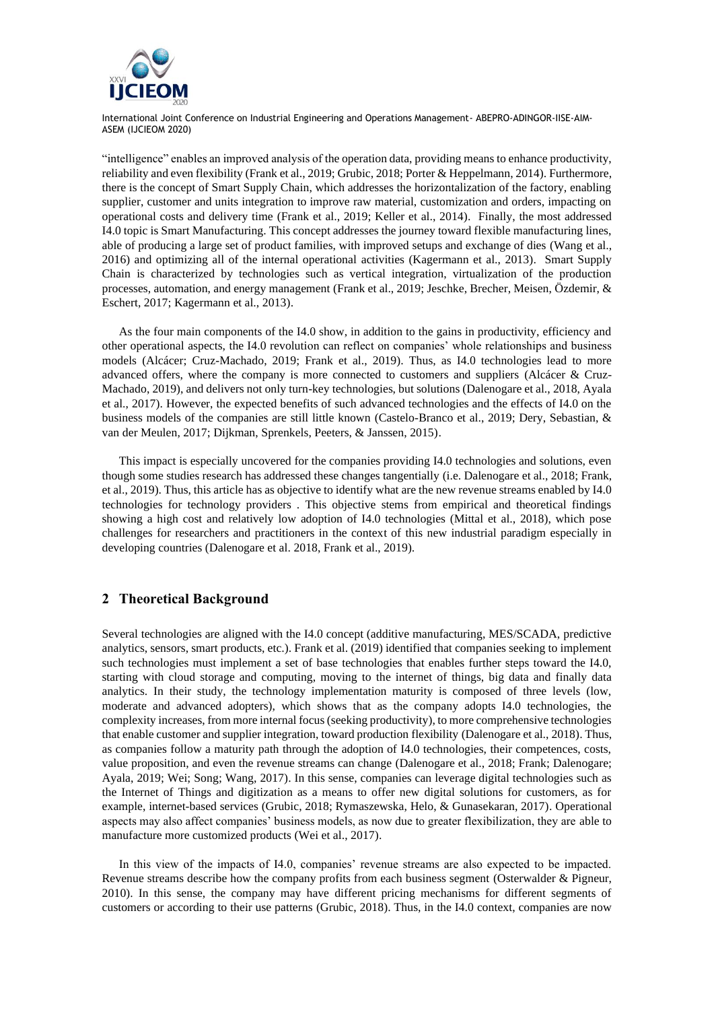

"intelligence" enables an improved analysis of the operation data, providing means to enhance productivity, reliability and even flexibility (Frank et al., 2019; Grubic, 2018; Porter & Heppelmann, 2014). Furthermore, there is the concept of Smart Supply Chain, which addresses the horizontalization of the factory, enabling supplier, customer and units integration to improve raw material, customization and orders, impacting on operational costs and delivery time (Frank et al., 2019; Keller et al., 2014). Finally, the most addressed I4.0 topic is Smart Manufacturing. This concept addresses the journey toward flexible manufacturing lines, able of producing a large set of product families, with improved setups and exchange of dies (Wang et al., 2016) and optimizing all of the internal operational activities (Kagermann et al., 2013). Smart Supply Chain is characterized by technologies such as vertical integration, virtualization of the production processes, automation, and energy management (Frank et al., 2019; Jeschke, Brecher, Meisen, Özdemir, & Eschert, 2017; Kagermann et al., 2013).

As the four main components of the I4.0 show, in addition to the gains in productivity, efficiency and other operational aspects, the I4.0 revolution can reflect on companies' whole relationships and business models (Alcácer; Cruz-Machado, 2019; Frank et al., 2019). Thus, as I4.0 technologies lead to more advanced offers, where the company is more connected to customers and suppliers (Alcácer & Cruz-Machado, 2019), and delivers not only turn-key technologies, but solutions (Dalenogare et al., 2018, Ayala et al., 2017). However, the expected benefits of such advanced technologies and the effects of I4.0 on the business models of the companies are still little known (Castelo-Branco et al., 2019; Dery, Sebastian, & van der Meulen, 2017; Dijkman, Sprenkels, Peeters, & Janssen, 2015).

This impact is especially uncovered for the companies providing I4.0 technologies and solutions, even though some studies research has addressed these changes tangentially (i.e. Dalenogare et al., 2018; Frank, et al., 2019). Thus, this article has as objective to identify what are the new revenue streams enabled by I4.0 technologies for technology providers . This objective stems from empirical and theoretical findings showing a high cost and relatively low adoption of I4.0 technologies (Mittal et al., 2018), which pose challenges for researchers and practitioners in the context of this new industrial paradigm especially in developing countries (Dalenogare et al. 2018, Frank et al., 2019).

## **2 Theoretical Background**

Several technologies are aligned with the I4.0 concept (additive manufacturing, MES/SCADA, predictive analytics, sensors, smart products, etc.). Frank et al. (2019) identified that companies seeking to implement such technologies must implement a set of base technologies that enables further steps toward the I4.0, starting with cloud storage and computing, moving to the internet of things, big data and finally data analytics. In their study, the technology implementation maturity is composed of three levels (low, moderate and advanced adopters), which shows that as the company adopts I4.0 technologies, the complexity increases, from more internal focus (seeking productivity), to more comprehensive technologies that enable customer and supplier integration, toward production flexibility (Dalenogare et al., 2018). Thus, as companies follow a maturity path through the adoption of I4.0 technologies, their competences, costs, value proposition, and even the revenue streams can change (Dalenogare et al., 2018; Frank; Dalenogare; Ayala, 2019; Wei; Song; Wang, 2017). In this sense, companies can leverage digital technologies such as the Internet of Things and digitization as a means to offer new digital solutions for customers, as for example, internet-based services (Grubic, 2018; Rymaszewska, Helo, & Gunasekaran, 2017). Operational aspects may also affect companies' business models, as now due to greater flexibilization, they are able to manufacture more customized products (Wei et al., 2017).

In this view of the impacts of I4.0, companies' revenue streams are also expected to be impacted. Revenue streams describe how the company profits from each business segment (Osterwalder & Pigneur, 2010). In this sense, the company may have different pricing mechanisms for different segments of customers or according to their use patterns (Grubic, 2018). Thus, in the I4.0 context, companies are now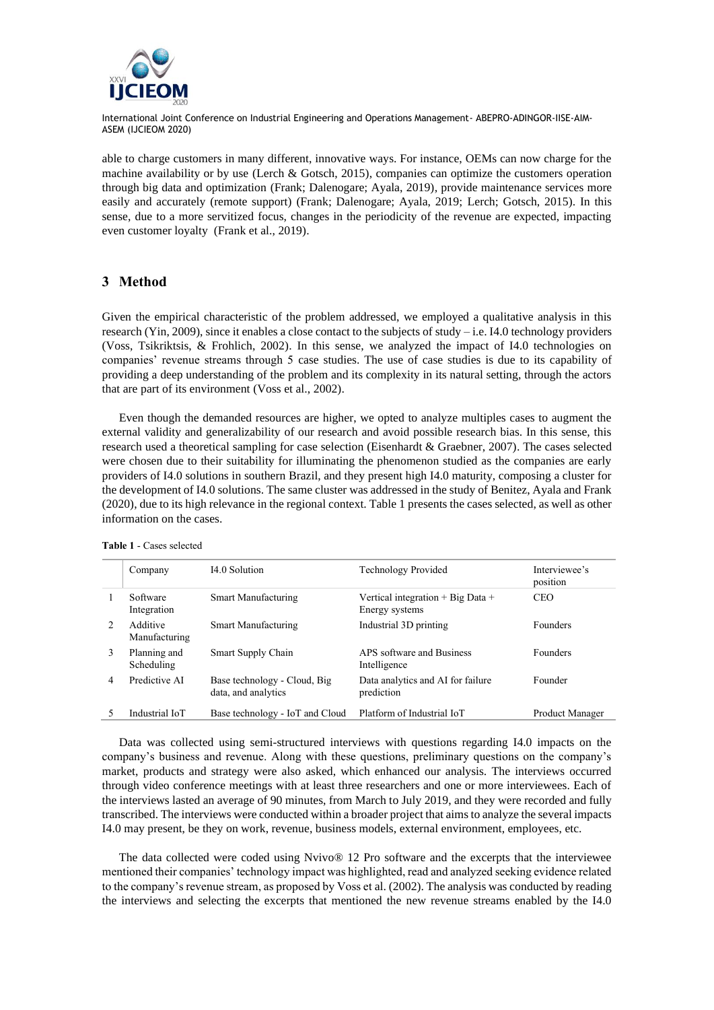

able to charge customers in many different, innovative ways. For instance, OEMs can now charge for the machine availability or by use (Lerch & Gotsch, 2015), companies can optimize the customers operation through big data and optimization (Frank; Dalenogare; Ayala, 2019), provide maintenance services more easily and accurately (remote support) (Frank; Dalenogare; Ayala, 2019; Lerch; Gotsch, 2015). In this sense, due to a more servitized focus, changes in the periodicity of the revenue are expected, impacting even customer loyalty (Frank et al., 2019).

### **3 Method**

Given the empirical characteristic of the problem addressed, we employed a qualitative analysis in this research (Yin, 2009), since it enables a close contact to the subjects of study – i.e. I4.0 technology providers (Voss, Tsikriktsis, & Frohlich, 2002). In this sense, we analyzed the impact of I4.0 technologies on companies' revenue streams through 5 case studies. The use of case studies is due to its capability of providing a deep understanding of the problem and its complexity in its natural setting, through the actors that are part of its environment (Voss et al., 2002).

Even though the demanded resources are higher, we opted to analyze multiples cases to augment the external validity and generalizability of our research and avoid possible research bias. In this sense, this research used a theoretical sampling for case selection (Eisenhardt & Graebner, 2007). The cases selected were chosen due to their suitability for illuminating the phenomenon studied as the companies are early providers of I4.0 solutions in southern Brazil, and they present high I4.0 maturity, composing a cluster for the development of I4.0 solutions. The same cluster was addressed in the study of Benitez, Ayala and Frank (2020), due to its high relevance in the regional context. Table 1 presents the cases selected, as well as other information on the cases.

|               | Company                    | I4.0 Solution                                       | Technology Provided                                     | Interviewee's<br>position |
|---------------|----------------------------|-----------------------------------------------------|---------------------------------------------------------|---------------------------|
|               | Software<br>Integration    | Smart Manufacturing                                 | Vertical integration $+$ Big Data $+$<br>Energy systems | <b>CEO</b>                |
| $\mathcal{L}$ | Additive<br>Manufacturing  | Smart Manufacturing                                 | Industrial 3D printing                                  | <b>Founders</b>           |
| 3             | Planning and<br>Scheduling | Smart Supply Chain                                  | APS software and Business<br>Intelligence               | <b>Founders</b>           |
| 4             | Predictive AI              | Base technology - Cloud, Big<br>data, and analytics | Data analytics and AI for failure<br>prediction         | Founder                   |
|               | Industrial IoT             | Base technology - IoT and Cloud                     | Platform of Industrial IoT                              | Product Manager           |

**Table 1** - Cases selected

Data was collected using semi-structured interviews with questions regarding I4.0 impacts on the company's business and revenue. Along with these questions, preliminary questions on the company's market, products and strategy were also asked, which enhanced our analysis. The interviews occurred through video conference meetings with at least three researchers and one or more interviewees. Each of the interviews lasted an average of 90 minutes, from March to July 2019, and they were recorded and fully transcribed. The interviews were conducted within a broader project that aims to analyze the several impacts I4.0 may present, be they on work, revenue, business models, external environment, employees, etc.

The data collected were coded using Nvivo® 12 Pro software and the excerpts that the interviewee mentioned their companies' technology impact was highlighted, read and analyzed seeking evidence related to the company's revenue stream, as proposed by Voss et al. (2002). The analysis was conducted by reading the interviews and selecting the excerpts that mentioned the new revenue streams enabled by the I4.0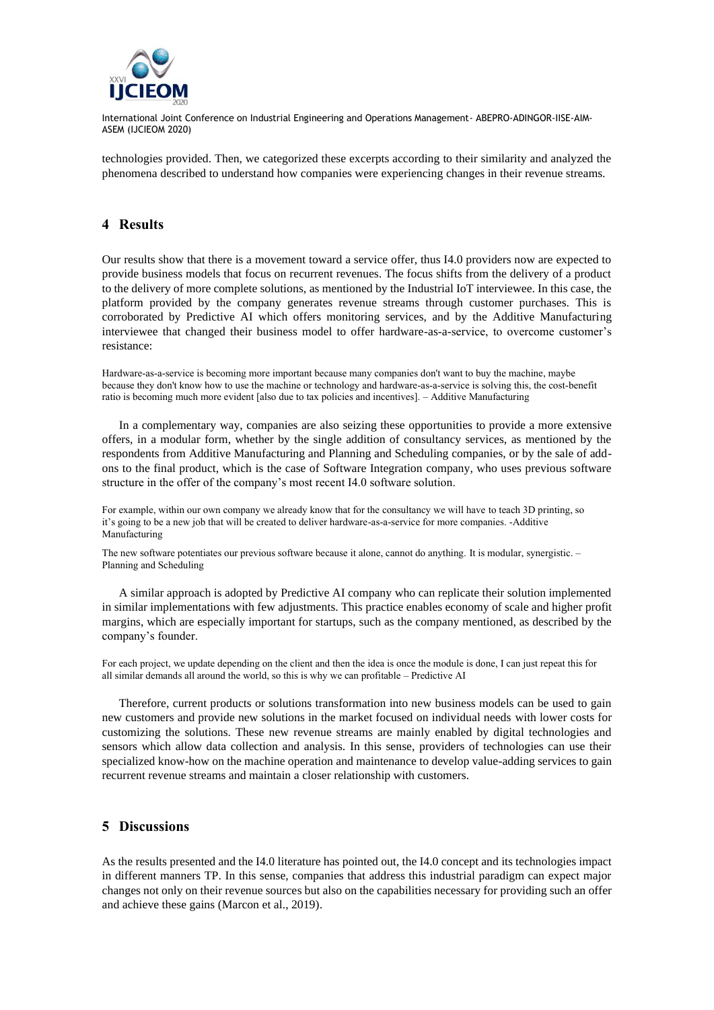

technologies provided. Then, we categorized these excerpts according to their similarity and analyzed the phenomena described to understand how companies were experiencing changes in their revenue streams.

#### **4 Results**

Our results show that there is a movement toward a service offer, thus I4.0 providers now are expected to provide business models that focus on recurrent revenues. The focus shifts from the delivery of a product to the delivery of more complete solutions, as mentioned by the Industrial IoT interviewee. In this case, the platform provided by the company generates revenue streams through customer purchases. This is corroborated by Predictive AI which offers monitoring services, and by the Additive Manufacturing interviewee that changed their business model to offer hardware-as-a-service, to overcome customer's resistance:

Hardware-as-a-service is becoming more important because many companies don't want to buy the machine, maybe because they don't know how to use the machine or technology and hardware-as-a-service is solving this, the cost-benefit ratio is becoming much more evident [also due to tax policies and incentives]. – Additive Manufacturing

In a complementary way, companies are also seizing these opportunities to provide a more extensive offers, in a modular form, whether by the single addition of consultancy services, as mentioned by the respondents from Additive Manufacturing and Planning and Scheduling companies, or by the sale of addons to the final product, which is the case of Software Integration company, who uses previous software structure in the offer of the company's most recent I4.0 software solution.

For example, within our own company we already know that for the consultancy we will have to teach 3D printing, so it's going to be a new job that will be created to deliver hardware-as-a-service for more companies. -Additive Manufacturing

The new software potentiates our previous software because it alone, cannot do anything. It is modular, synergistic. – Planning and Scheduling

A similar approach is adopted by Predictive AI company who can replicate their solution implemented in similar implementations with few adjustments. This practice enables economy of scale and higher profit margins, which are especially important for startups, such as the company mentioned, as described by the company's founder.

For each project, we update depending on the client and then the idea is once the module is done, I can just repeat this for all similar demands all around the world, so this is why we can profitable – Predictive AI

Therefore, current products or solutions transformation into new business models can be used to gain new customers and provide new solutions in the market focused on individual needs with lower costs for customizing the solutions. These new revenue streams are mainly enabled by digital technologies and sensors which allow data collection and analysis. In this sense, providers of technologies can use their specialized know-how on the machine operation and maintenance to develop value-adding services to gain recurrent revenue streams and maintain a closer relationship with customers.

#### **5 Discussions**

As the results presented and the I4.0 literature has pointed out, the I4.0 concept and its technologies impact in different manners TP. In this sense, companies that address this industrial paradigm can expect major changes not only on their revenue sources but also on the capabilities necessary for providing such an offer and achieve these gains (Marcon et al., 2019).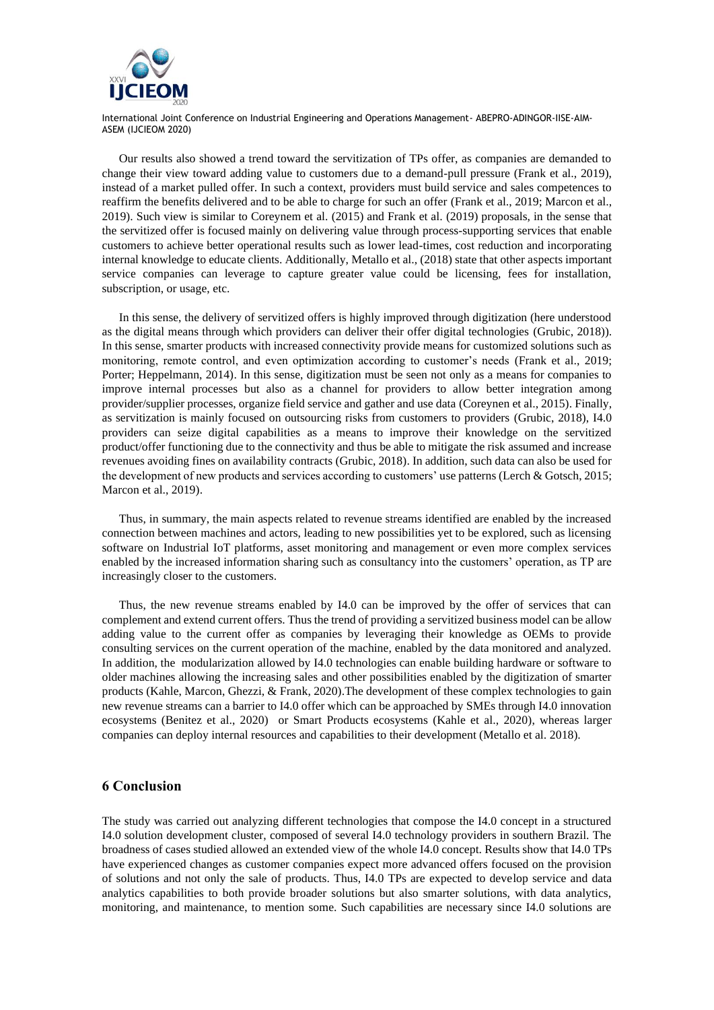

Our results also showed a trend toward the servitization of TPs offer, as companies are demanded to change their view toward adding value to customers due to a demand-pull pressure (Frank et al., 2019), instead of a market pulled offer. In such a context, providers must build service and sales competences to reaffirm the benefits delivered and to be able to charge for such an offer (Frank et al., 2019; Marcon et al., 2019). Such view is similar to Coreynem et al. (2015) and Frank et al. (2019) proposals, in the sense that the servitized offer is focused mainly on delivering value through process-supporting services that enable customers to achieve better operational results such as lower lead-times, cost reduction and incorporating internal knowledge to educate clients. Additionally, Metallo et al., (2018) state that other aspects important service companies can leverage to capture greater value could be licensing, fees for installation, subscription, or usage, etc.

In this sense, the delivery of servitized offers is highly improved through digitization (here understood as the digital means through which providers can deliver their offer digital technologies (Grubic, 2018)). In this sense, smarter products with increased connectivity provide means for customized solutions such as monitoring, remote control, and even optimization according to customer's needs (Frank et al., 2019; Porter; Heppelmann, 2014). In this sense, digitization must be seen not only as a means for companies to improve internal processes but also as a channel for providers to allow better integration among provider/supplier processes, organize field service and gather and use data (Coreynen et al., 2015). Finally, as servitization is mainly focused on outsourcing risks from customers to providers (Grubic, 2018), I4.0 providers can seize digital capabilities as a means to improve their knowledge on the servitized product/offer functioning due to the connectivity and thus be able to mitigate the risk assumed and increase revenues avoiding fines on availability contracts (Grubic, 2018). In addition, such data can also be used for the development of new products and services according to customers' use patterns (Lerch & Gotsch, 2015; Marcon et al., 2019).

Thus, in summary, the main aspects related to revenue streams identified are enabled by the increased connection between machines and actors, leading to new possibilities yet to be explored, such as licensing software on Industrial IoT platforms, asset monitoring and management or even more complex services enabled by the increased information sharing such as consultancy into the customers' operation, as TP are increasingly closer to the customers.

Thus, the new revenue streams enabled by I4.0 can be improved by the offer of services that can complement and extend current offers. Thus the trend of providing a servitized business model can be allow adding value to the current offer as companies by leveraging their knowledge as OEMs to provide consulting services on the current operation of the machine, enabled by the data monitored and analyzed. In addition, the modularization allowed by I4.0 technologies can enable building hardware or software to older machines allowing the increasing sales and other possibilities enabled by the digitization of smarter products (Kahle, Marcon, Ghezzi, & Frank, 2020).The development of these complex technologies to gain new revenue streams can a barrier to I4.0 offer which can be approached by SMEs through I4.0 innovation ecosystems (Benitez et al., 2020) or Smart Products ecosystems (Kahle et al., 2020), whereas larger companies can deploy internal resources and capabilities to their development (Metallo et al. 2018).

#### **6 Conclusion**

The study was carried out analyzing different technologies that compose the I4.0 concept in a structured I4.0 solution development cluster, composed of several I4.0 technology providers in southern Brazil. The broadness of cases studied allowed an extended view of the whole I4.0 concept. Results show that I4.0 TPs have experienced changes as customer companies expect more advanced offers focused on the provision of solutions and not only the sale of products. Thus, I4.0 TPs are expected to develop service and data analytics capabilities to both provide broader solutions but also smarter solutions, with data analytics, monitoring, and maintenance, to mention some. Such capabilities are necessary since I4.0 solutions are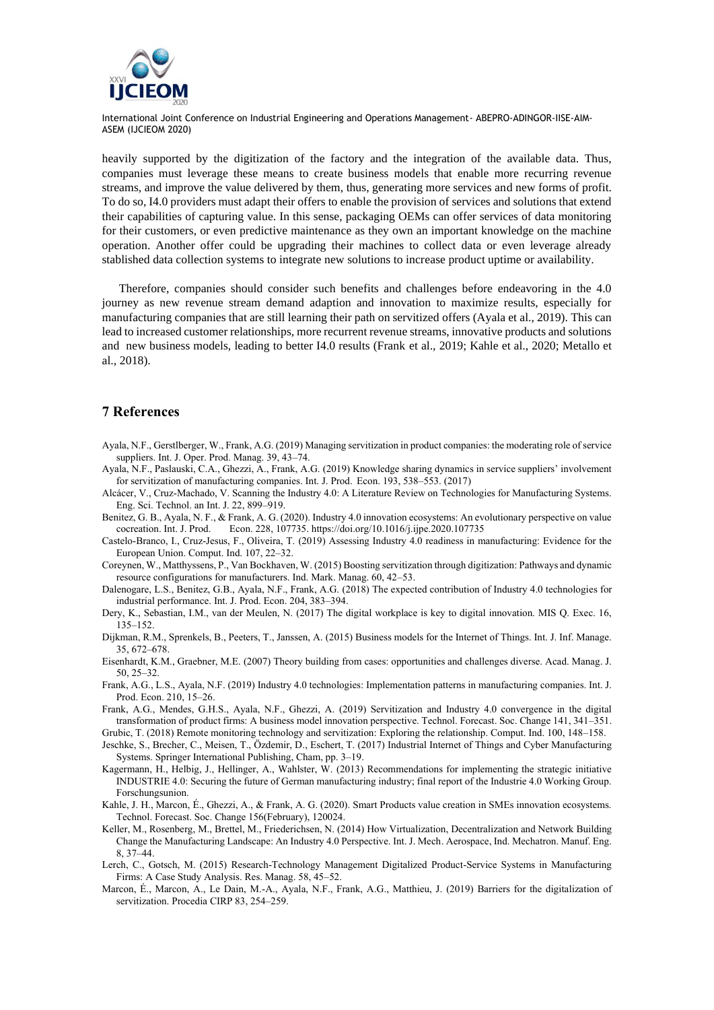

heavily supported by the digitization of the factory and the integration of the available data. Thus, companies must leverage these means to create business models that enable more recurring revenue streams, and improve the value delivered by them, thus, generating more services and new forms of profit. To do so, I4.0 providers must adapt their offers to enable the provision of services and solutions that extend their capabilities of capturing value. In this sense, packaging OEMs can offer services of data monitoring for their customers, or even predictive maintenance as they own an important knowledge on the machine operation. Another offer could be upgrading their machines to collect data or even leverage already stablished data collection systems to integrate new solutions to increase product uptime or availability.

Therefore, companies should consider such benefits and challenges before endeavoring in the 4.0 journey as new revenue stream demand adaption and innovation to maximize results, especially for manufacturing companies that are still learning their path on servitized offers (Ayala et al., 2019). This can lead to increased customer relationships, more recurrent revenue streams, innovative products and solutions and new business models, leading to better I4.0 results (Frank et al., 2019; Kahle et al., 2020; Metallo et al., 2018).

#### **7 References**

- Ayala, N.F., Gerstlberger, W., Frank, A.G. (2019) Managing servitization in product companies: the moderating role of service suppliers. Int. J. Oper. Prod. Manag. 39, 43–74.
- Ayala, N.F., Paslauski, C.A., Ghezzi, A., Frank, A.G. (2019) Knowledge sharing dynamics in service suppliers' involvement for servitization of manufacturing companies. Int. J. Prod. Econ. 193, 538–553. (2017)
- Alcácer, V., Cruz-Machado, V. Scanning the Industry 4.0: A Literature Review on Technologies for Manufacturing Systems. Eng. Sci. Technol. an Int. J. 22, 899–919.
- Benitez, G. B., Ayala, N. F., & Frank, A. G. (2020). Industry 4.0 innovation ecosystems: An evolutionary perspective on value cocreation. Int. J. Prod. Econ. 228, 107735. https://doi.org/10.1016/j.ijpe.2020.107735
- Castelo-Branco, I., Cruz-Jesus, F., Oliveira, T. (2019) Assessing Industry 4.0 readiness in manufacturing: Evidence for the European Union. Comput. Ind. 107, 22–32.
- Coreynen, W., Matthyssens, P., Van Bockhaven, W. (2015) Boosting servitization through digitization: Pathways and dynamic resource configurations for manufacturers. Ind. Mark. Manag. 60, 42–53.
- Dalenogare, L.S., Benitez, G.B., Ayala, N.F., Frank, A.G. (2018) The expected contribution of Industry 4.0 technologies for industrial performance. Int. J. Prod. Econ. 204, 383–394.
- Dery, K., Sebastian, I.M., van der Meulen, N. (2017) The digital workplace is key to digital innovation. MIS Q. Exec. 16, 135–152.
- Dijkman, R.M., Sprenkels, B., Peeters, T., Janssen, A. (2015) Business models for the Internet of Things. Int. J. Inf. Manage. 35, 672–678.
- Eisenhardt, K.M., Graebner, M.E. (2007) Theory building from cases: opportunities and challenges diverse. Acad. Manag. J. 50, 25–32.
- Frank, A.G., L.S., Ayala, N.F. (2019) Industry 4.0 technologies: Implementation patterns in manufacturing companies. Int. J. Prod. Econ. 210, 15–26.
- Frank, A.G., Mendes, G.H.S., Ayala, N.F., Ghezzi, A. (2019) Servitization and Industry 4.0 convergence in the digital transformation of product firms: A business model innovation perspective. Technol. Forecast. Soc. Change 141, 341–351.
- Grubic, T. (2018) Remote monitoring technology and servitization: Exploring the relationship. Comput. Ind. 100, 148–158. Jeschke, S., Brecher, C., Meisen, T., Özdemir, D., Eschert, T. (2017) Industrial Internet of Things and Cyber Manufacturing Systems. Springer International Publishing, Cham, pp. 3–19.
- Kagermann, H., Helbig, J., Hellinger, A., Wahlster, W. (2013) Recommendations for implementing the strategic initiative INDUSTRIE 4.0: Securing the future of German manufacturing industry; final report of the Industrie 4.0 Working Group. Forschungsunion.
- Kahle, J. H., Marcon, É., Ghezzi, A., & Frank, A. G. (2020). Smart Products value creation in SMEs innovation ecosystems. Technol. Forecast. Soc. Change 156(February), 120024.
- Keller, M., Rosenberg, M., Brettel, M., Friederichsen, N. (2014) How Virtualization, Decentralization and Network Building Change the Manufacturing Landscape: An Industry 4.0 Perspective. Int. J. Mech. Aerospace, Ind. Mechatron. Manuf. Eng. 8, 37–44.
- Lerch, C., Gotsch, M. (2015) Research-Technology Management Digitalized Product-Service Systems in Manufacturing Firms: A Case Study Analysis. Res. Manag. 58, 45–52.
- Marcon, É., Marcon, A., Le Dain, M.-A., Ayala, N.F., Frank, A.G., Matthieu, J. (2019) Barriers for the digitalization of servitization. Procedia CIRP 83, 254–259.